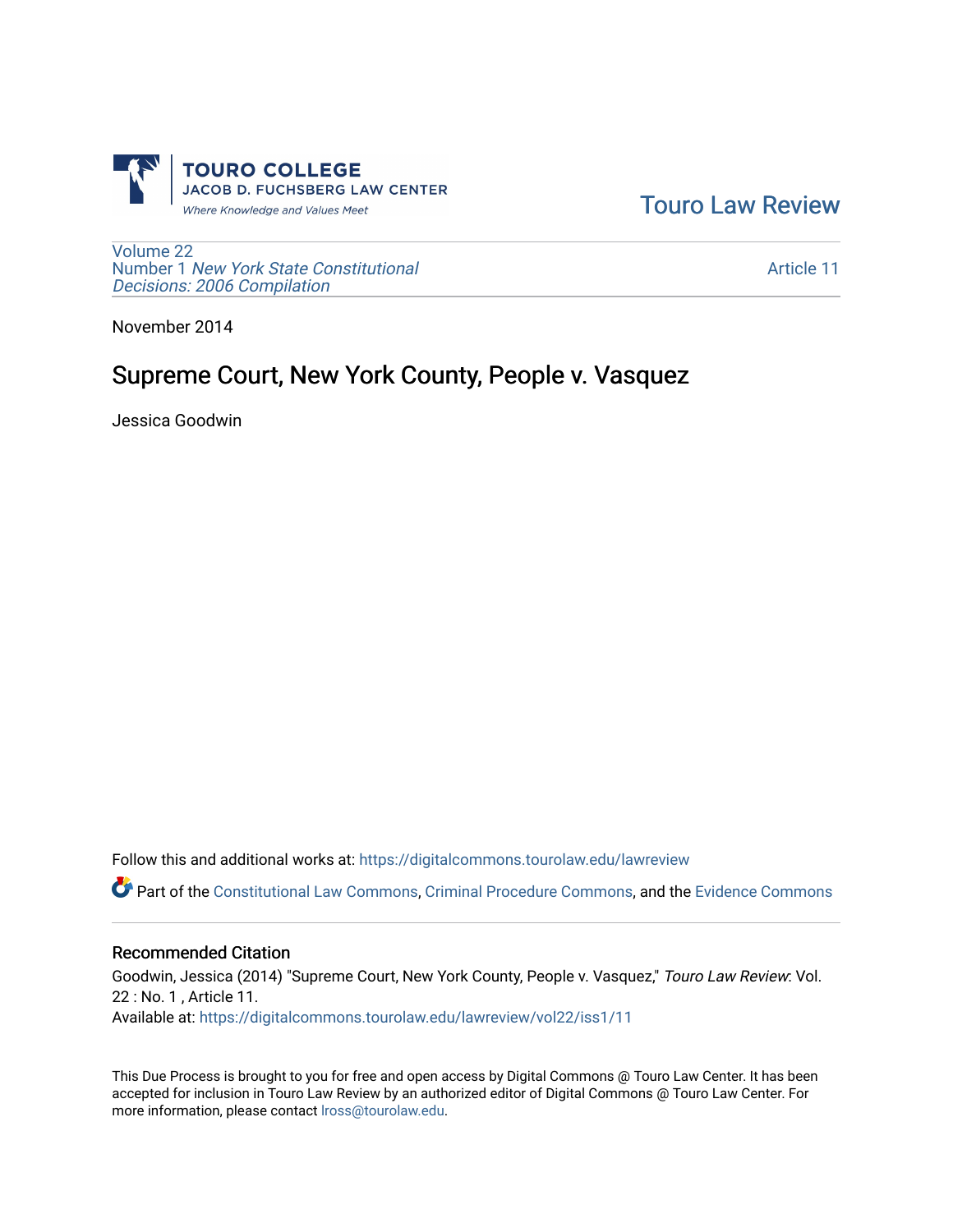

[Touro Law Review](https://digitalcommons.tourolaw.edu/lawreview) 

[Volume 22](https://digitalcommons.tourolaw.edu/lawreview/vol22) Number 1 [New York State Constitutional](https://digitalcommons.tourolaw.edu/lawreview/vol22/iss1)  [Decisions: 2006 Compilation](https://digitalcommons.tourolaw.edu/lawreview/vol22/iss1) 

[Article 11](https://digitalcommons.tourolaw.edu/lawreview/vol22/iss1/11) 

November 2014

# Supreme Court, New York County, People v. Vasquez

Jessica Goodwin

Follow this and additional works at: [https://digitalcommons.tourolaw.edu/lawreview](https://digitalcommons.tourolaw.edu/lawreview?utm_source=digitalcommons.tourolaw.edu%2Flawreview%2Fvol22%2Fiss1%2F11&utm_medium=PDF&utm_campaign=PDFCoverPages)

Part of the [Constitutional Law Commons,](http://network.bepress.com/hgg/discipline/589?utm_source=digitalcommons.tourolaw.edu%2Flawreview%2Fvol22%2Fiss1%2F11&utm_medium=PDF&utm_campaign=PDFCoverPages) [Criminal Procedure Commons,](http://network.bepress.com/hgg/discipline/1073?utm_source=digitalcommons.tourolaw.edu%2Flawreview%2Fvol22%2Fiss1%2F11&utm_medium=PDF&utm_campaign=PDFCoverPages) and the [Evidence Commons](http://network.bepress.com/hgg/discipline/601?utm_source=digitalcommons.tourolaw.edu%2Flawreview%2Fvol22%2Fiss1%2F11&utm_medium=PDF&utm_campaign=PDFCoverPages)

### Recommended Citation

Goodwin, Jessica (2014) "Supreme Court, New York County, People v. Vasquez," Touro Law Review: Vol. 22 : No. 1 , Article 11. Available at: [https://digitalcommons.tourolaw.edu/lawreview/vol22/iss1/11](https://digitalcommons.tourolaw.edu/lawreview/vol22/iss1/11?utm_source=digitalcommons.tourolaw.edu%2Flawreview%2Fvol22%2Fiss1%2F11&utm_medium=PDF&utm_campaign=PDFCoverPages) 

This Due Process is brought to you for free and open access by Digital Commons @ Touro Law Center. It has been accepted for inclusion in Touro Law Review by an authorized editor of Digital Commons @ Touro Law Center. For more information, please contact [lross@tourolaw.edu.](mailto:lross@tourolaw.edu)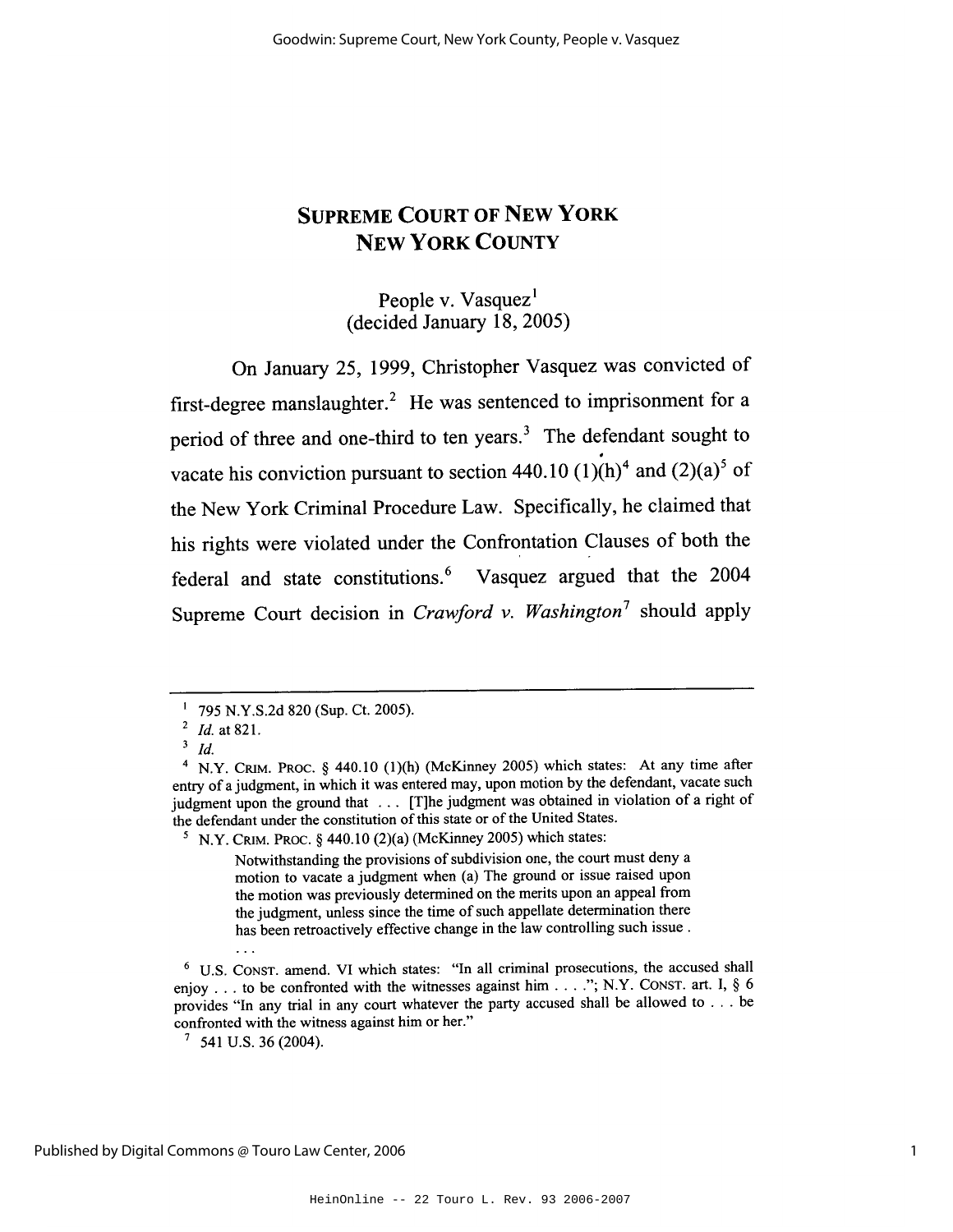# **SUPREME COURT OF NEW YORK NEW YORK COUNTY**

People v. Vasquez<sup>1</sup> (decided January 18, 2005)

On January 25, 1999, Christopher Vasquez was convicted of first-degree manslaughter.<sup>2</sup> He was sentenced to imprisonment for a period of three and one-third to ten years.<sup>3</sup> The defendant sought to vacate his conviction pursuant to section 440.10 (1)(h)<sup>4</sup> and (2)(a)<sup>5</sup> of the New York Criminal Procedure Law. Specifically, he claimed that his rights were violated under the Confrontation Clauses of both the federal and state constitutions.<sup>6</sup> Vasquez argued that the 2004 Supreme Court decision in *Crawford v. Washington*<sup>7</sup> should apply

Notwithstanding the provisions of subdivision one, the court must deny a motion to vacate a judgment when (a) The ground or issue raised upon the motion was previously determined on the merits upon an appeal from the judgment, unless since the time of such appellate determination there has been retroactively effective change in the law controlling such issue.

<sup>&</sup>lt;sup>1</sup> 795 N.Y.S.2d 820 (Sup. Ct. 2005).

<sup>&</sup>lt;sup>2</sup> *Id.* at 821.

 $3$  Id.

<sup>&</sup>lt;sup>4</sup> N.Y. CRIM. PROC. § 440.10 (1)(h) (McKinney 2005) which states: At any time after entry of a judgment, in which it was entered may, upon motion by the defendant, vacate such judgment upon the ground that . . . [T]he judgment was obtained in violation of a right of the defendant under the constitution of this state or of the United States.

<sup>&</sup>lt;sup>5</sup> N.Y. CRIM. PROC. § 440.10 (2)(a) (McKinney 2005) which states:

<sup>&</sup>lt;sup>6</sup> U.S. CONST. amend. VI which states: "In all criminal prosecutions, the accused shall enjoy . . . to be confronted with the witnesses against him . . . ."; N.Y. CONST. art. I, § 6 provides "In any trial in any court whatever the party accused shall be allowed to . . . be confronted with the witness against him or her."

 $7$  541 U.S. 36 (2004).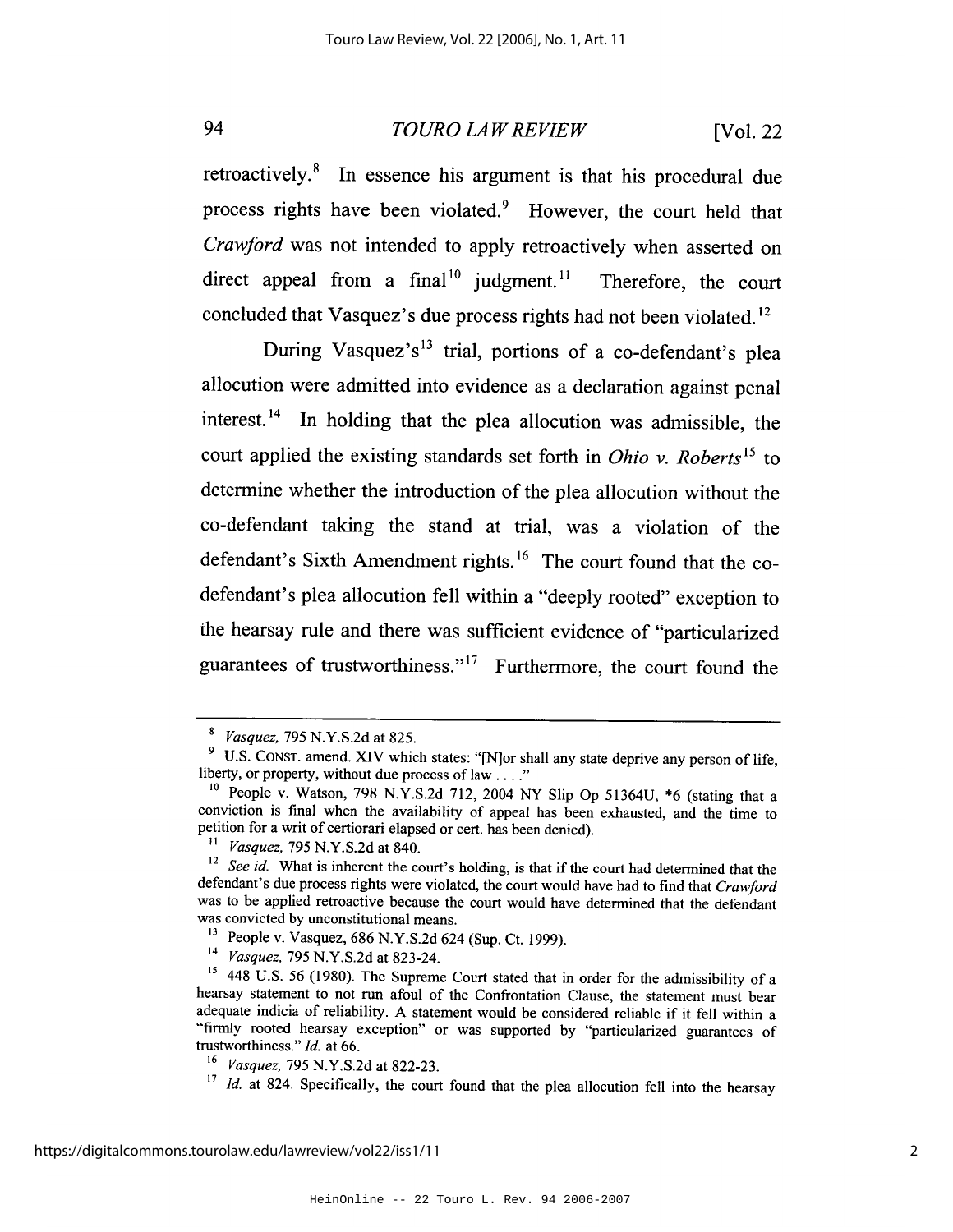94 **TOURO LAW REVIEW**  $[Vol. 22]$ 

retroactively.<sup>8</sup> In essence his argument is that his procedural due process rights have been violated.<sup>9</sup> However, the court held that Crawford was not intended to apply retroactively when asserted on direct appeal from a final  $10$  judgment.<sup>11</sup> Therefore, the court concluded that Vasquez's due process rights had not been violated.<sup>12</sup>

During Vasquez's<sup>13</sup> trial, portions of a co-defendant's plea allocution were admitted into evidence as a declaration against penal interest.<sup>14</sup> In holding that the plea allocution was admissible, the court applied the existing standards set forth in *Ohio v. Roberts*<sup>15</sup> to determine whether the introduction of the plea allocution without the co-defendant taking the stand at trial, was a violation of the defendant's Sixth Amendment rights.<sup>16</sup> The court found that the codefendant's plea allocution fell within a "deeply rooted" exception to the hearsay rule and there was sufficient evidence of "particularized guarantees of trustworthiness."<sup>17</sup> Furthermore, the court found the

<sup>&</sup>lt;sup>8</sup> Vasquez, 795 N.Y.S.2d at 825.

<sup>&</sup>lt;sup>9</sup> U.S. CONST. amend. XIV which states: "[N]or shall any state deprive any person of life, liberty, or property, without due process of law . . . ."

<sup>&</sup>lt;sup>10</sup> People v. Watson, 798 N.Y.S.2d 712, 2004 NY Slip Op 51364U, \*6 (stating that a conviction is final when the availability of appeal has been exhausted, and the time to petition for a writ of certiorari elapsed or cert. has been denied).

<sup>&</sup>lt;sup>11</sup> Vasquez, 795 N.Y.S.2d at 840.

<sup>&</sup>lt;sup>12</sup> See id. What is inherent the court's holding, is that if the court had determined that the defendant's due process rights were violated, the court would have had to find that Crawford was to be applied retroactive because the court would have determined that the defendant was convicted by unconstitutional means.

<sup>&</sup>lt;sup>13</sup> People v. Vasquez, 686 N.Y.S.2d 624 (Sup. Ct. 1999).

<sup>&</sup>lt;sup>14</sup> Vasquez, 795 N.Y.S.2d at 823-24.

<sup>&</sup>lt;sup>15</sup> 448 U.S. 56 (1980). The Supreme Court stated that in order for the admissibility of a hearsay statement to not run afoul of the Confrontation Clause, the statement must bear adequate indicia of reliability. A statement would be considered reliable if it fell within a "firmly rooted hearsay exception" or was supported by "particularized guarantees of trustworthiness." Id. at 66.

<sup>&</sup>lt;sup>16</sup> Vasquez, 795 N.Y.S.2d at 822-23.

<sup>&</sup>lt;sup>17</sup> *Id.* at 824. Specifically, the court found that the plea allocution fell into the hearsay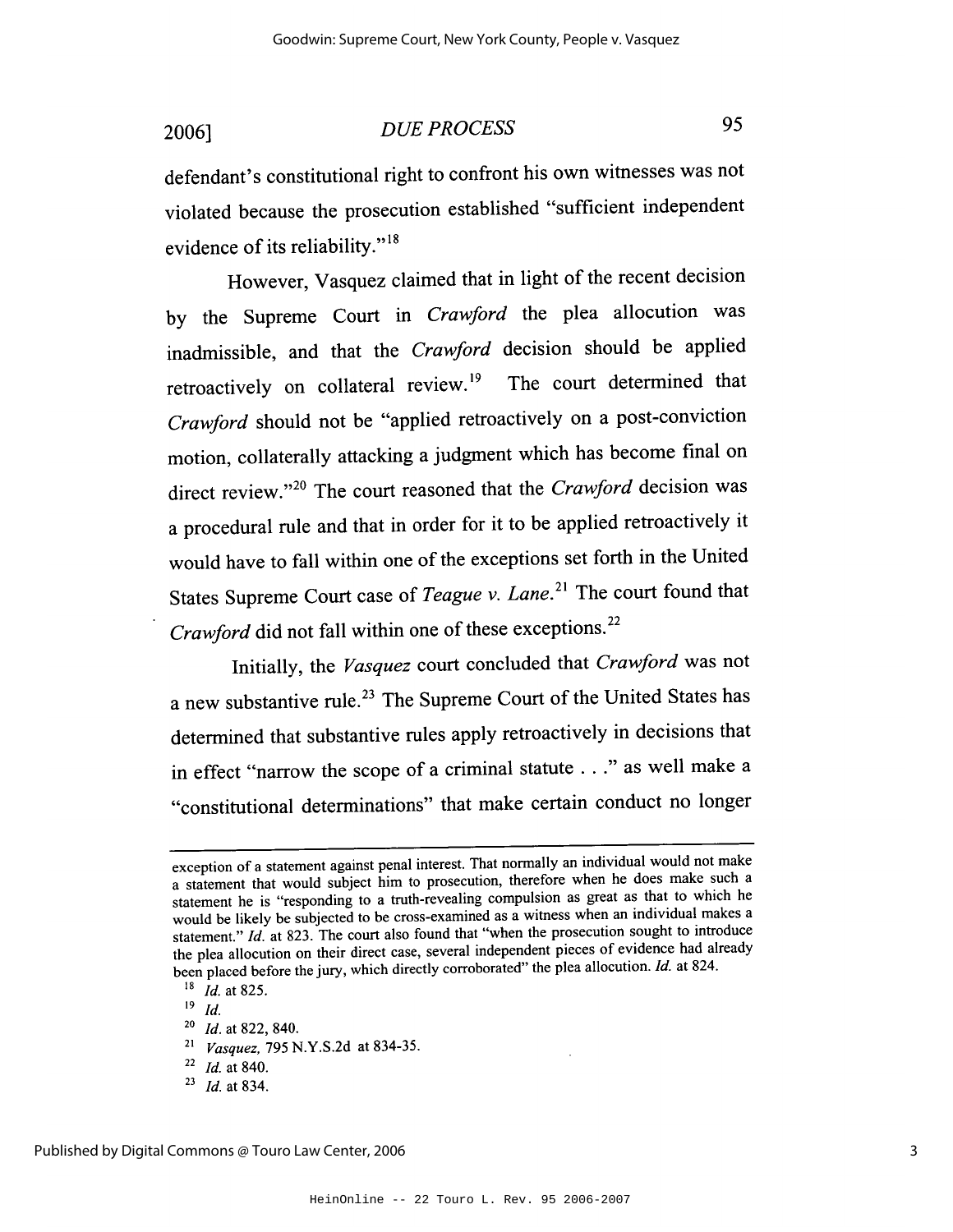# **DUE PROCESS**

defendant's constitutional right to confront his own witnesses was not violated because the prosecution established "sufficient independent evidence of its reliability."<sup>18</sup>

However, Vasquez claimed that in light of the recent decision by the Supreme Court in Crawford the plea allocution was inadmissible, and that the Crawford decision should be applied retroactively on collateral review.<sup>19</sup> The court determined that Crawford should not be "applied retroactively on a post-conviction motion, collaterally attacking a judgment which has become final on direct review."<sup>20</sup> The court reasoned that the Crawford decision was a procedural rule and that in order for it to be applied retroactively it would have to fall within one of the exceptions set forth in the United States Supreme Court case of Teague v. Lane.<sup>21</sup> The court found that Crawford did not fall within one of these exceptions.<sup>22</sup>

Initially, the Vasquez court concluded that Crawford was not a new substantive rule.<sup>23</sup> The Supreme Court of the United States has determined that substantive rules apply retroactively in decisions that in effect "narrow the scope of a criminal statute . . ." as well make a "constitutional determinations" that make certain conduct no longer

 $22$  *Id.* at 840.

exception of a statement against penal interest. That normally an individual would not make a statement that would subject him to prosecution, therefore when he does make such a statement he is "responding to a truth-revealing compulsion as great as that to which he would be likely be subjected to be cross-examined as a witness when an individual makes a statement." Id. at 823. The court also found that "when the prosecution sought to introduce the plea allocution on their direct case, several independent pieces of evidence had already been placed before the jury, which directly corroborated" the plea allocution. Id. at 824.

 $18$  *Id.* at 825.

 $19$  *Id.* 

 $120$  *Id.* at 822, 840.

<sup>&</sup>lt;sup>21</sup> Vasquez, 795 N.Y.S.2d at 834-35.

 $^{23}$  *Id.* at 834.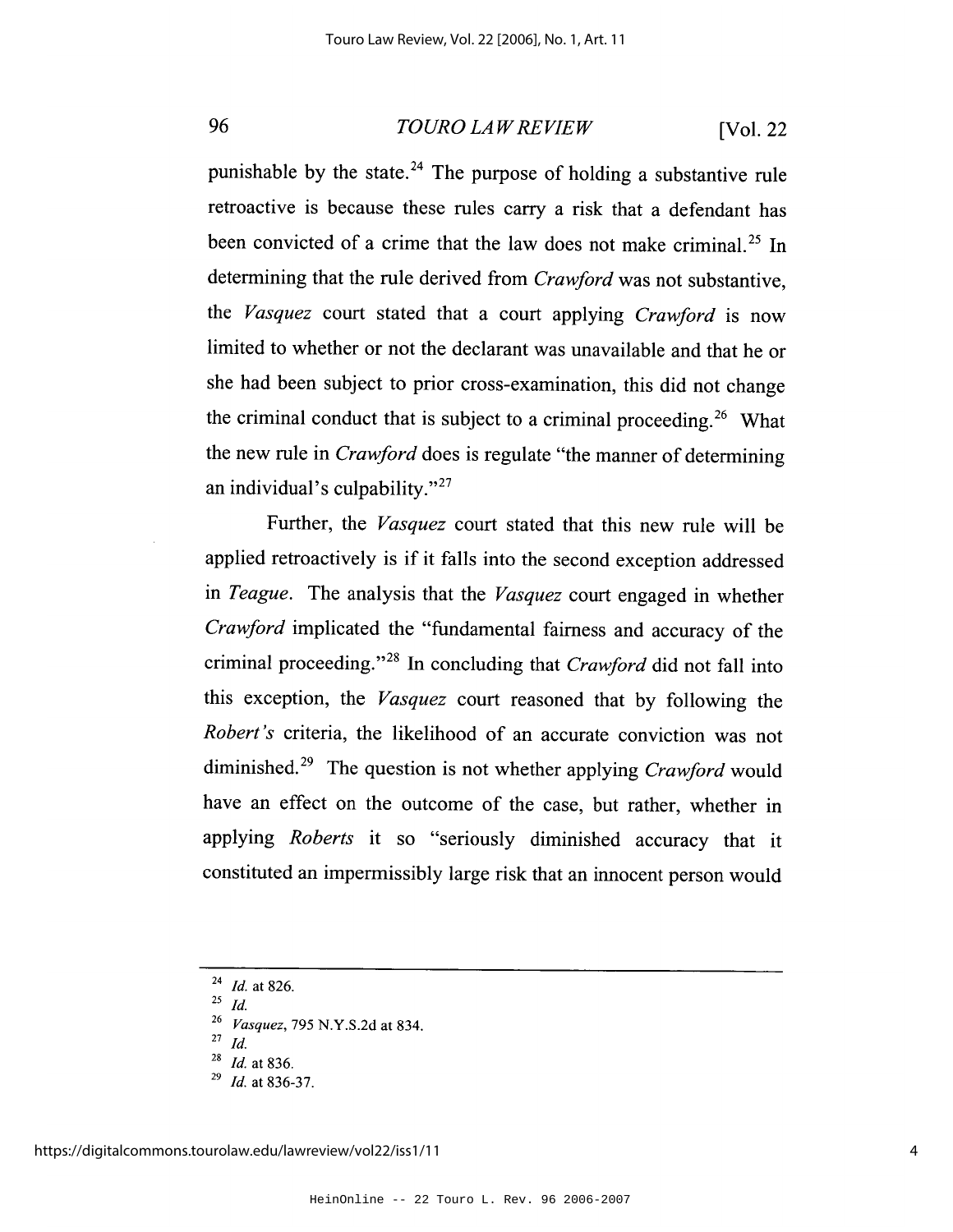#### **TOURO LAW REVIEW** [ $Vol. 22$

punishable by the state.<sup>24</sup> The purpose of holding a substantive rule retroactive is because these rules carry a risk that a defendant has been convicted of a crime that the law does not make criminal.<sup>25</sup> In determining that the rule derived from Crawford was not substantive, the Vasquez court stated that a court applying Crawford is now limited to whether or not the declarant was unavailable and that he or she had been subject to prior cross-examination, this did not change the criminal conduct that is subject to a criminal proceeding.<sup>26</sup> What the new rule in *Crawford* does is regulate "the manner of determining an individual's culpability."<sup>27</sup>

Further, the *Vasquez* court stated that this new rule will be applied retroactively is if it falls into the second exception addressed in Teague. The analysis that the Vasquez court engaged in whether Crawford implicated the "fundamental fairness and accuracy of the criminal proceeding."<sup>28</sup> In concluding that *Crawford* did not fall into this exception, the *Vasquez* court reasoned that by following the Robert's criteria, the likelihood of an accurate conviction was not diminished.<sup>29</sup> The question is not whether applying Crawford would have an effect on the outcome of the case, but rather, whether in applying Roberts it so "seriously diminished accuracy that it constituted an impermissibly large risk that an innocent person would

 $^{24}$  *Id.* at 826.

 $^{25}$  *Id.* 

<sup>&</sup>lt;sup>26</sup> Vasquez, 795 N.Y.S.2d at 834.

<sup>27</sup> Id.

Id. at 836.

Id. at 836-37.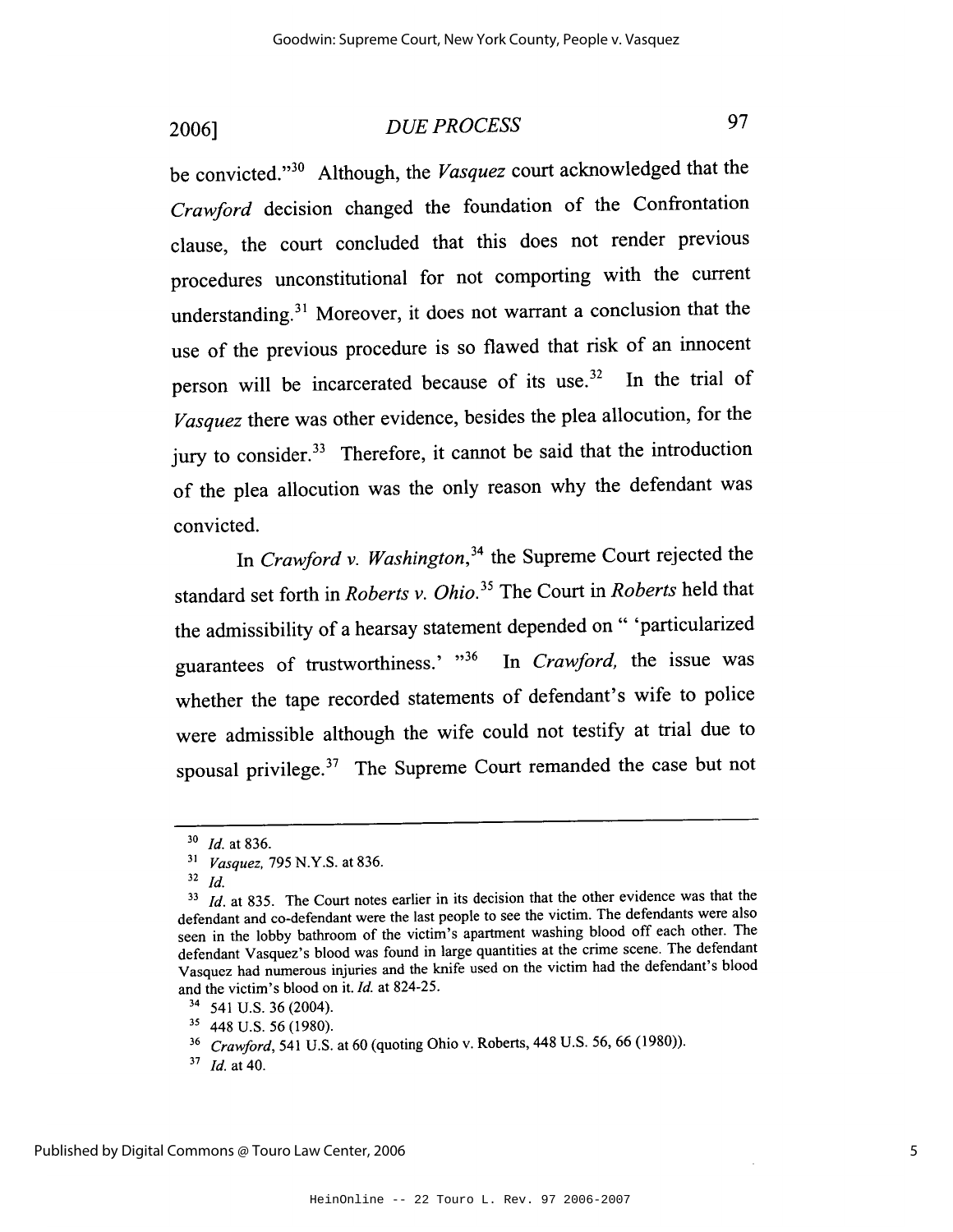### DUE PROCESS

97

be convicted."<sup>30</sup> Although, the *Vasquez* court acknowledged that the Crawford decision changed the foundation of the Confrontation clause, the court concluded that this does not render previous procedures unconstitutional for not comporting with the current understanding.<sup>31</sup> Moreover, it does not warrant a conclusion that the use of the previous procedure is so flawed that risk of an innocent person will be incarcerated because of its use.<sup>32</sup> In the trial of Vasquez there was other evidence, besides the plea allocution, for the jury to consider.<sup>33</sup> Therefore, it cannot be said that the introduction of the plea allocution was the only reason why the defendant was convicted.

In Crawford v. Washington,<sup>34</sup> the Supreme Court rejected the standard set forth in *Roberts v. Ohio.*<sup>35</sup> The Court in *Roberts* held that the admissibility of a hearsay statement depended on " 'particularized guarantees of trustworthiness.' "36 In Crawford, the issue was whether the tape recorded statements of defendant's wife to police were admissible although the wife could not testify at trial due to spousal privilege.<sup>37</sup> The Supreme Court remanded the case but not

 $30$  *Id.* at 836.

<sup>&</sup>lt;sup>31</sup> Vasquez, 795 N.Y.S. at 836.

 $32$  *Id.* 

 $33$  *Id.* at 835. The Court notes earlier in its decision that the other evidence was that the defendant and co-defendant were the last people to see the victim. The defendants were also seen in the lobby bathroom of the victim's apartment washing blood off each other. The defendant Vasquez's blood was found in large quantities at the crime scene. The defendant Vasquez had numerous injuries and the knife used on the victim had the defendant's blood and the victim's blood on it. Id. at 824-25.

<sup>&</sup>lt;sup>34</sup> 541 U.S. 36 (2004).

<sup>&</sup>lt;sup>35</sup> 448 U.S. 56 (1980).

<sup>&</sup>lt;sup>36</sup> Crawford, 541 U.S. at 60 (quoting Ohio v. Roberts, 448 U.S. 56, 66 (1980)).

 $37$  *Id.* at 40.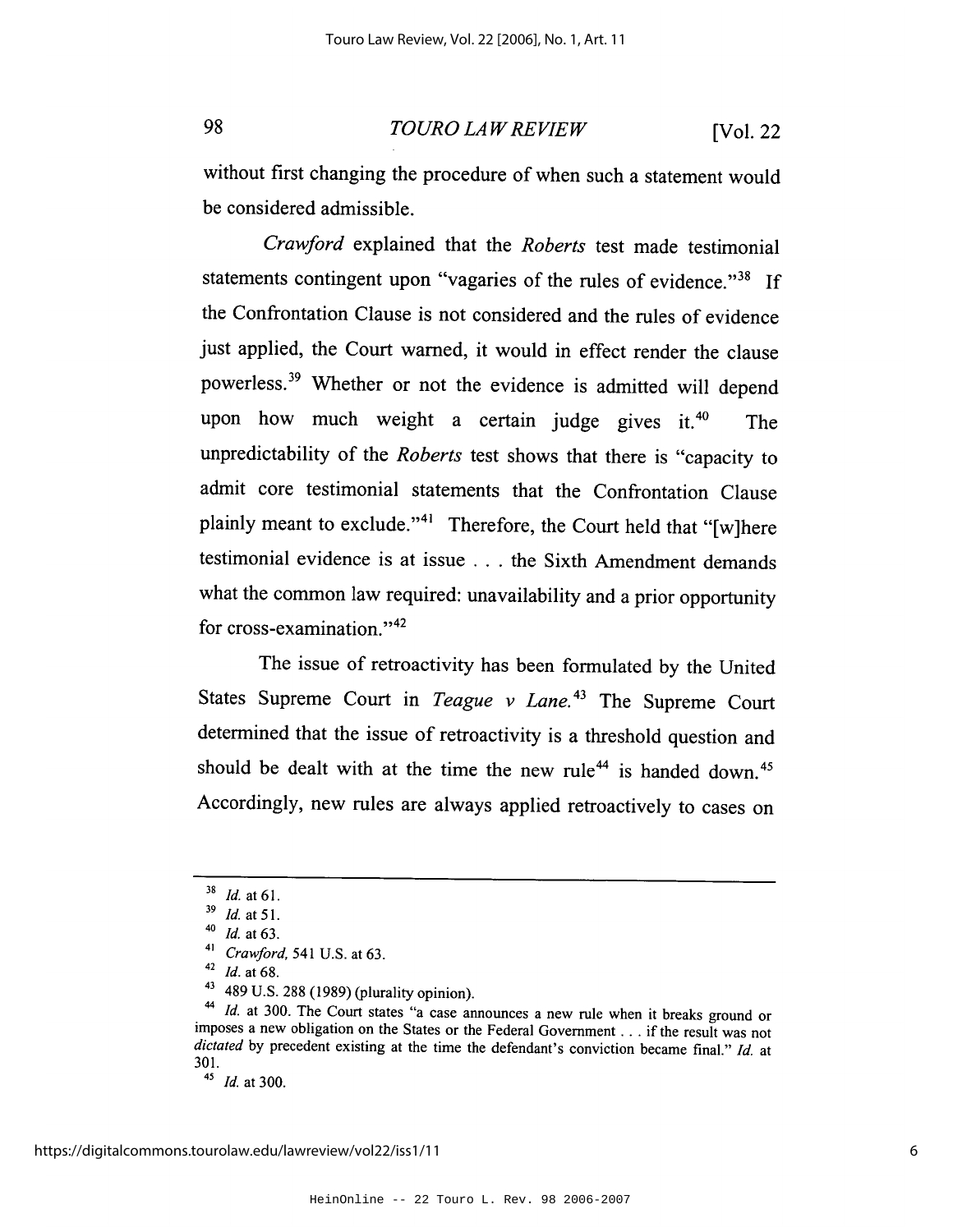#### **TOURO LAW REVIEW**  $[Vol. 22]$

without first changing the procedure of when such a statement would be considered admissible.

Crawford explained that the Roberts test made testimonial statements contingent upon "vagaries of the rules of evidence."<sup>38</sup> If the Confrontation Clause is not considered and the rules of evidence just applied, the Court warned, it would in effect render the clause powerless.<sup>39</sup> Whether or not the evidence is admitted will depend upon how much weight a certain judge gives it.<sup>40</sup> The unpredictability of the Roberts test shows that there is "capacity to admit core testimonial statements that the Confrontation Clause plainly meant to exclude."<sup>41</sup> Therefore, the Court held that "[w]here testimonial evidence is at issue . . . the Sixth Amendment demands what the common law required: unavailability and a prior opportunity for cross-examination."<sup>42</sup>

The issue of retroactivity has been formulated by the United States Supreme Court in Teague v Lane.<sup>43</sup> The Supreme Court determined that the issue of retroactivity is a threshold question and should be dealt with at the time the new rule<sup>44</sup> is handed down.<sup>45</sup> Accordingly, new rules are always applied retroactively to cases on

 $45$  *Id.* at 300.

 $38$  *Id.* at 61.

 $39$  *Id.* at 51.

 $40$  *Id.* at 63.

 $41$  Crawford, 541 U.S. at 63.

 $42$  *Id.* at 68.

<sup>&</sup>lt;sup>43</sup> 489 U.S. 288 (1989) (plurality opinion).

<sup>&</sup>lt;sup>44</sup> *Id.* at 300. The Court states "a case announces a new rule when it breaks ground or imposes a new obligation on the States or the Federal Government . . . if the result was not dictated by precedent existing at the time the defendant's conviction became final." Id. at 301.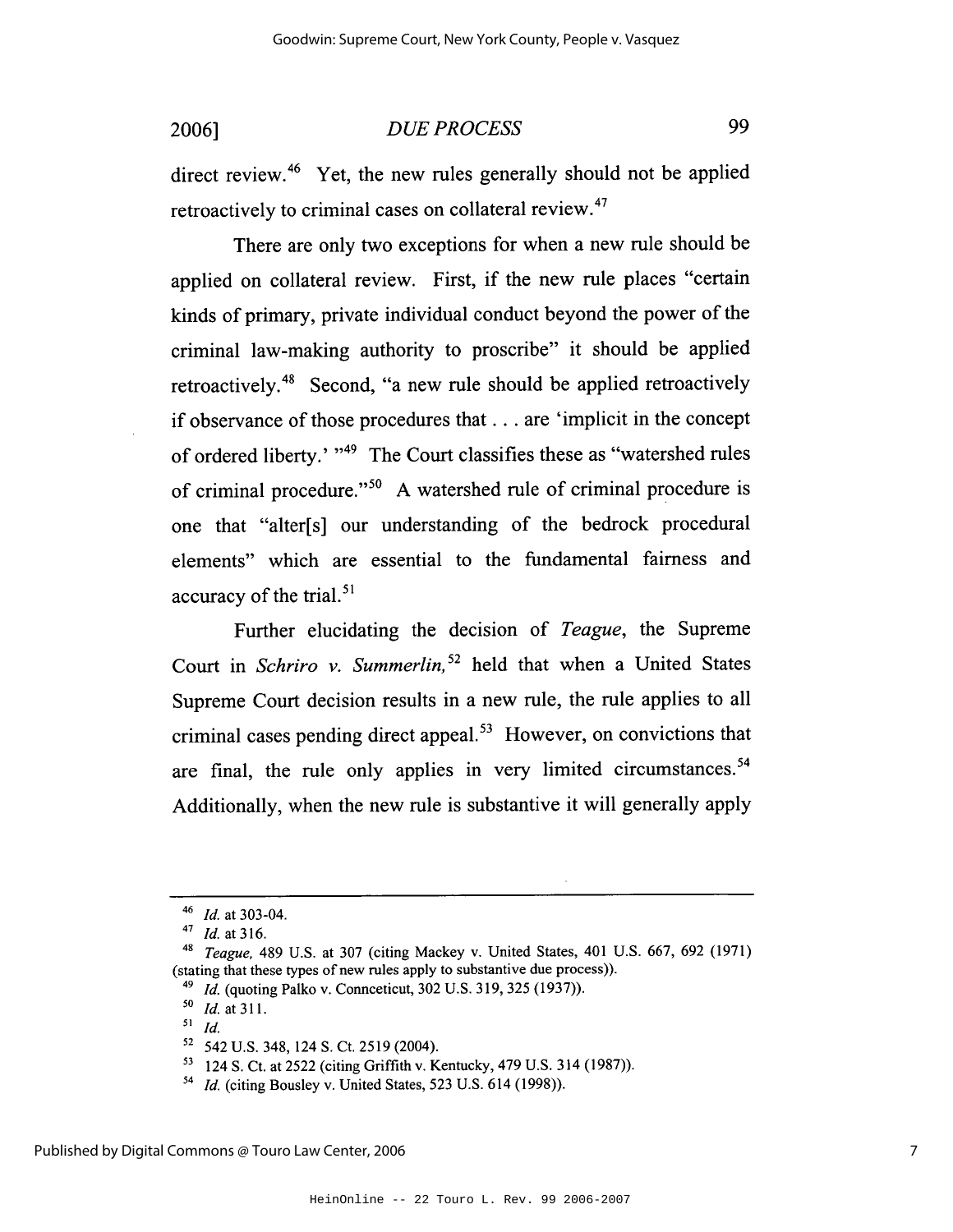## **DUE PROCESS**

99

direct review.<sup>46</sup> Yet, the new rules generally should not be applied retroactively to criminal cases on collateral review.<sup>47</sup>

There are only two exceptions for when a new rule should be applied on collateral review. First, if the new rule places "certain kinds of primary, private individual conduct beyond the power of the criminal law-making authority to proscribe" it should be applied retroactively.<sup>48</sup> Second, "a new rule should be applied retroactively if observance of those procedures that . . . are 'implicit in the concept of ordered liberty.' "<sup>49</sup> The Court classifies these as "watershed rules" of criminal procedure."<sup>50</sup> A watershed rule of criminal procedure is one that "alter[s] our understanding of the bedrock procedural elements" which are essential to the fundamental fairness and accuracy of the trial.<sup>51</sup>

Further elucidating the decision of Teague, the Supreme Court in Schriro v. Summerlin,<sup>52</sup> held that when a United States Supreme Court decision results in a new rule, the rule applies to all criminal cases pending direct appeal.<sup>53</sup> However, on convictions that are final, the rule only applies in very limited circumstances.<sup>54</sup> Additionally, when the new rule is substantive it will generally apply

 $46$  *Id.* at 303-04.

 $47$  *Id.* at 316.

<sup>&</sup>lt;sup>48</sup> Teague, 489 U.S. at 307 (citing Mackey v. United States, 401 U.S. 667, 692 (1971) (stating that these types of new rules apply to substantive due process)).

<sup>&</sup>lt;sup>49</sup> *Id.* (quoting Palko v. Connecticut, 302 U.S. 319, 325 (1937)).

 $^{50}$  *Id.* at 311.

 $51$  *Id.* 

<sup>&</sup>lt;sup>52</sup> 542 U.S. 348, 124 S. Ct. 2519 (2004).

<sup>&</sup>lt;sup>53</sup> 124 S. Ct. at 2522 (citing Griffith v. Kentucky, 479 U.S. 314 (1987)).

<sup>&</sup>lt;sup>54</sup> Id. (citing Bousley v. United States, 523 U.S. 614 (1998)).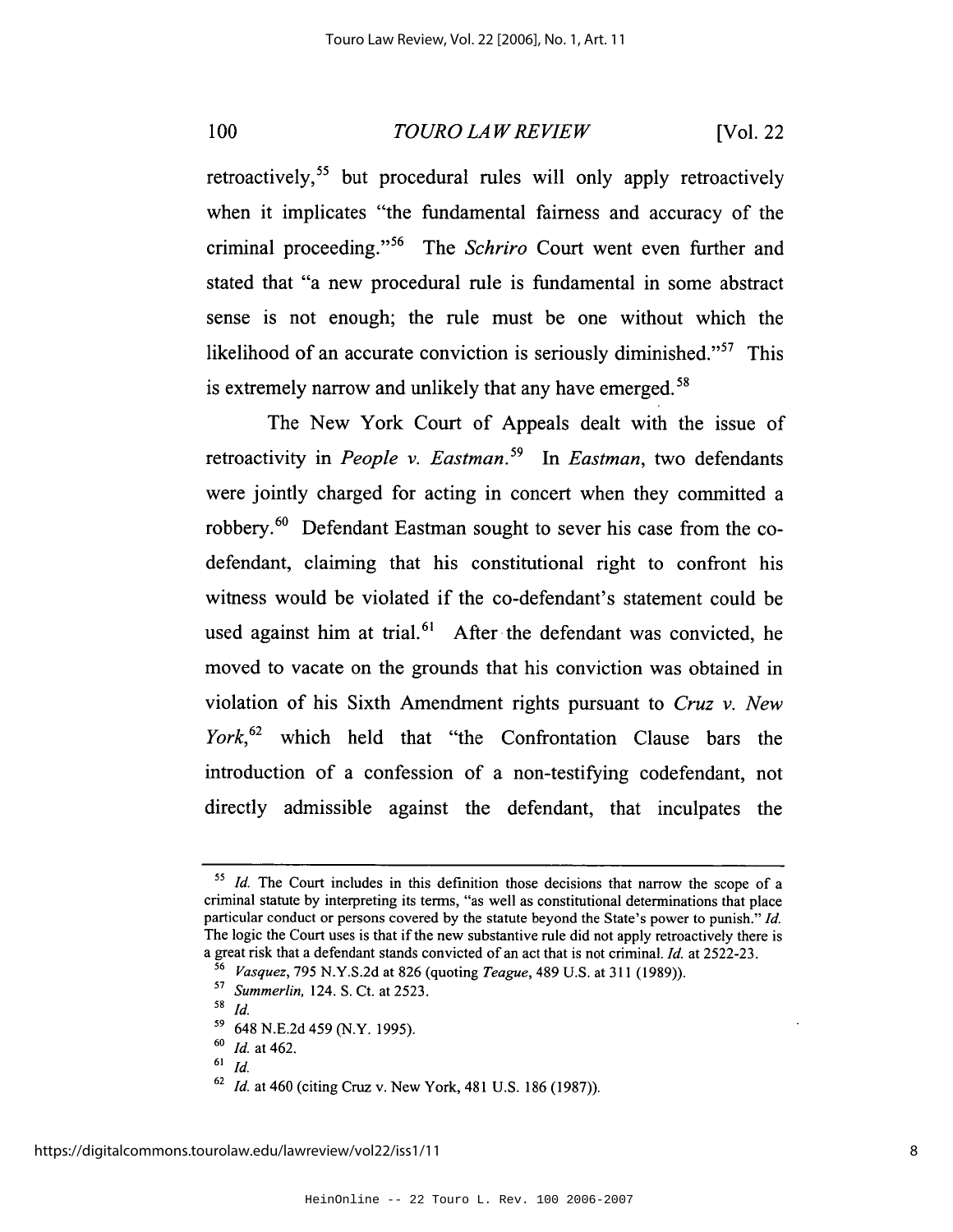100 **TOURO LAW REVIEW [Vol. 22** 

retroactively,<sup>55</sup> but procedural rules will only apply retroactively when it implicates "the fundamental fairness and accuracy of the criminal proceeding."<sup>56</sup> The Schriro Court went even further and stated that "a new procedural rule is fundamental in some abstract sense is not enough; the rule must be one without which the likelihood of an accurate conviction is seriously diminished."<sup>57</sup> This is extremely narrow and unlikely that any have emerged.<sup>58</sup>

The New York Court of Appeals dealt with the issue of retroactivity in People v. Eastman.<sup>59</sup> In Eastman, two defendants were jointly charged for acting in concert when they committed a robbery.<sup>60</sup> Defendant Eastman sought to sever his case from the codefendant, claiming that his constitutional right to confront his witness would be violated if the co-defendant's statement could be used against him at trial.<sup>61</sup> After the defendant was convicted, he moved to vacate on the grounds that his conviction was obtained in violation of his Sixth Amendment rights pursuant to Cruz v. New York,  $62$  which held that "the Confrontation Clause bars the introduction of a confession of a non-testifying codefendant, not directly admissible against the defendant, that inculpates the

 $61$  *Id.* 

 $55$  *Id.* The Court includes in this definition those decisions that narrow the scope of a criminal statute by interpreting its terms, "as well as constitutional determinations that place particular conduct or persons covered by the statute beyond the State's power to punish." Id. The logic the Court uses is that if the new substantive rule did not apply retroactively there is a great risk that a defendant stands convicted of an act that is not criminal. Id. at 2522-23.

<sup>&</sup>lt;sup>56</sup> Vasquez, 795 N.Y.S.2d at 826 (quoting *Teague*, 489 U.S. at 311 (1989)).

<sup>&</sup>lt;sup>57</sup> Summerlin, 124. S. Ct. at 2523.

<sup>&</sup>lt;sup>59</sup> 648 N.E.2d 459 (N.Y. 1995).

 $60$  *Id.* at 462.

 $62$  *Id.* at 460 (citing Cruz v. New York, 481 U.S. 186 (1987)).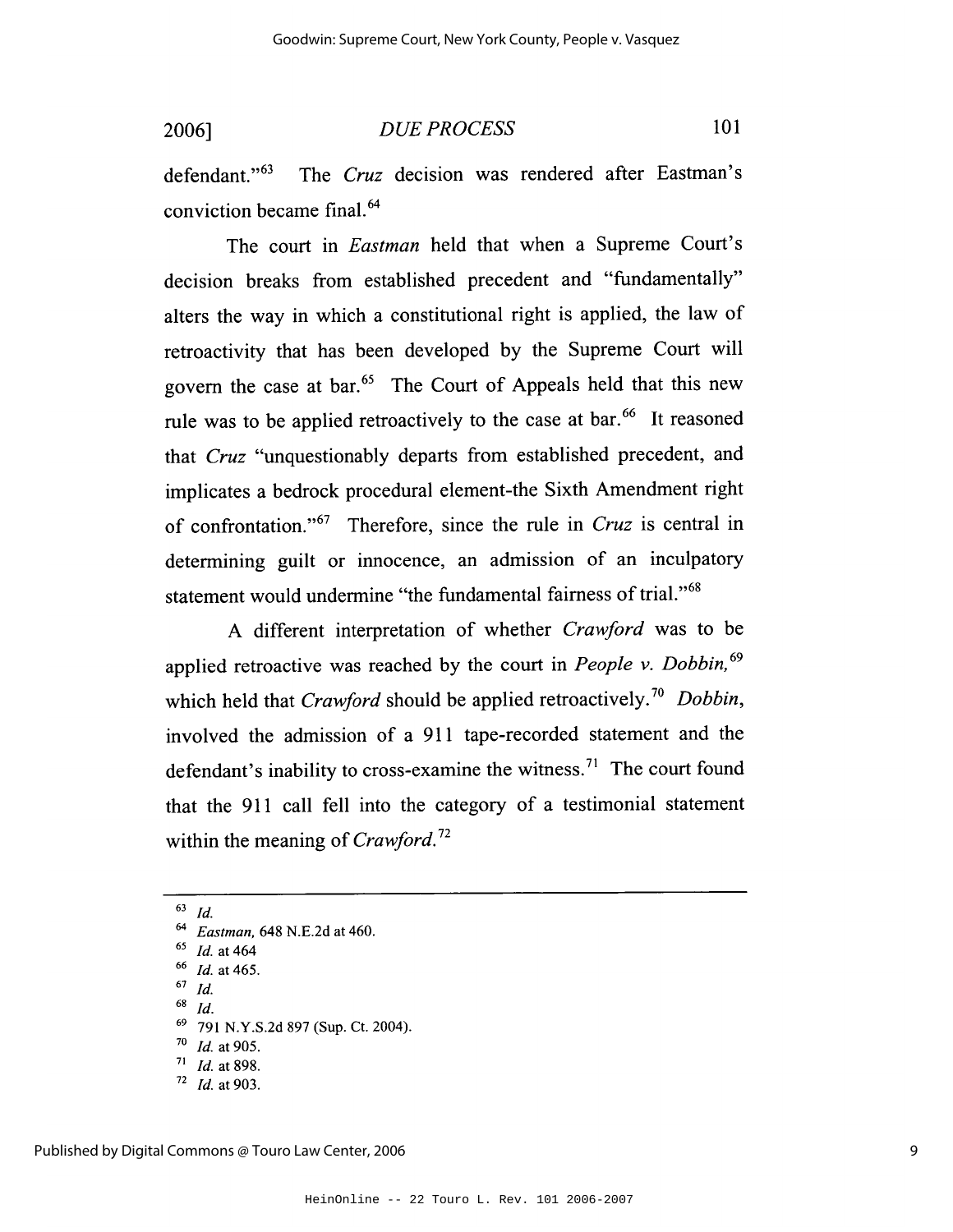# **DUE PROCESS**

 $101$ 

 $defendant.$ <sup> $,63$ </sup> The Cruz decision was rendered after Eastman's conviction became final.<sup>64</sup>

The court in *Eastman* held that when a Supreme Court's decision breaks from established precedent and "fundamentally" alters the way in which a constitutional right is applied, the law of retroactivity that has been developed by the Supreme Court will govern the case at bar.<sup>65</sup> The Court of Appeals held that this new rule was to be applied retroactively to the case at bar.<sup>66</sup> It reasoned that Cruz "unquestionably departs from established precedent, and implicates a bedrock procedural element-the Sixth Amendment right of confrontation."<sup>67</sup> Therefore, since the rule in Cruz is central in determining guilt or innocence, an admission of an inculpatory statement would undermine "the fundamental fairness of trial."<sup>68</sup>

A different interpretation of whether Crawford was to be applied retroactive was reached by the court in People v. Dobbin,  $69$ which held that *Crawford* should be applied retroactively.<sup>70</sup> Dobbin, involved the admission of a 911 tape-recorded statement and the defendant's inability to cross-examine the witness.<sup>71</sup> The court found that the 911 call fell into the category of a testimonial statement within the meaning of Crawford.<sup>72</sup>

 $63$  *Id.* <sup>64</sup> Eastman, 648 N.E.2d at 460.  $65$  *Id.* at 464  $66$  *Id.* at 465.  $67$  Id.  $68$  *Id.* 791 N.Y.S.2d 897 (Sup. Ct. 2004).

 $70$  *Id.* at 905.

 $71$  *Id.* at 898.

 $^{72}$  *Id.* at 903.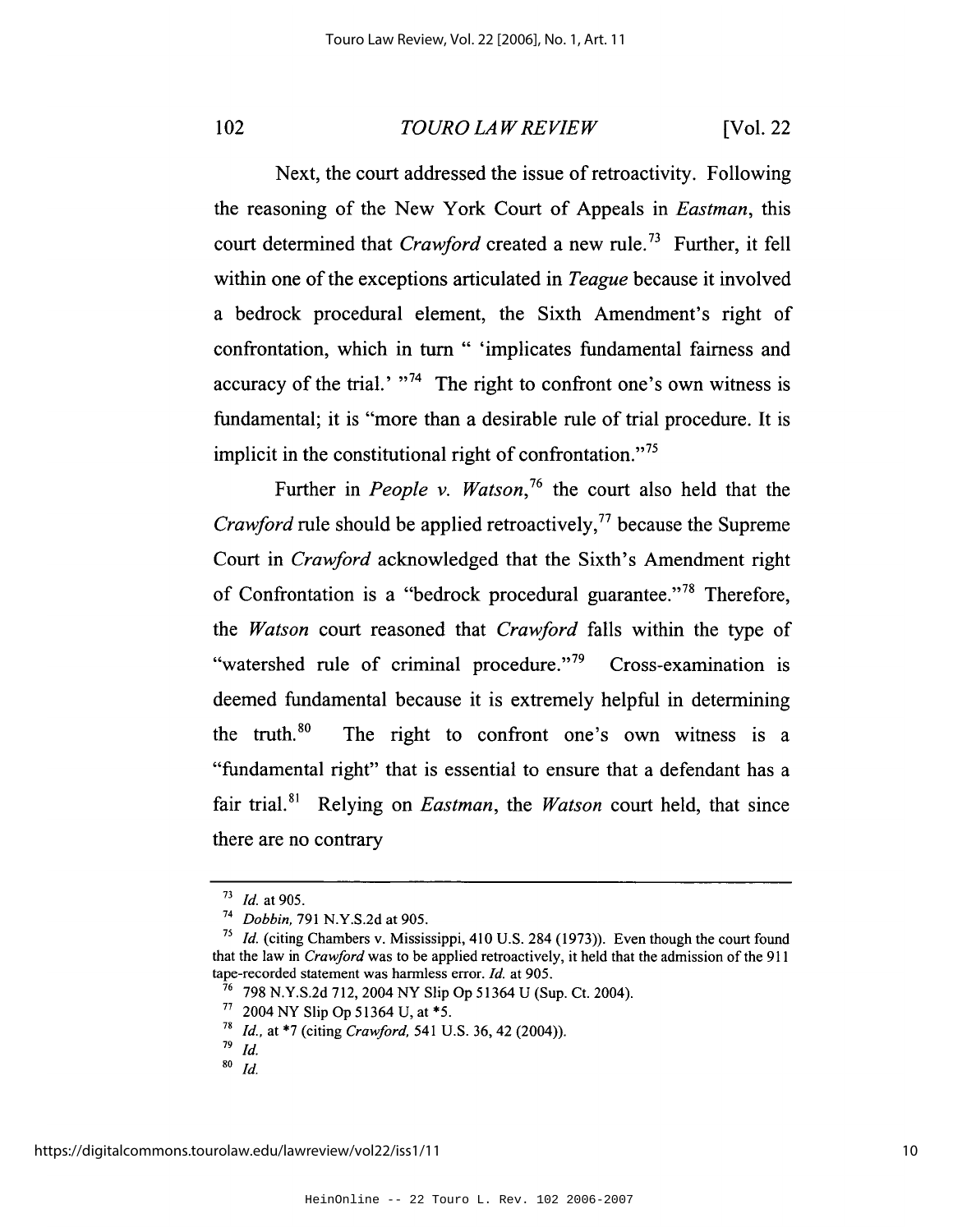#### **TOURO LAW REVIEW** [Vol. 22]

Next, the court addressed the issue of retroactivity. Following the reasoning of the New York Court of Appeals in *Eastman*, this court determined that *Crawford* created a new rule.<sup>73</sup> Further, it fell within one of the exceptions articulated in *Teague* because it involved a bedrock procedural element, the Sixth Amendment's right of confrontation, which in turn " 'implicates fundamental fairness and accuracy of the trial.' "<sup>74</sup> The right to confront one's own witness is fundamental; it is "more than a desirable rule of trial procedure. It is implicit in the constitutional right of confrontation."<sup>75</sup>

Further in *People v. Watson*<sup>76</sup> the court also held that the *Crawford* rule should be applied retroactively,<sup>77</sup> because the Supreme Court in *Crawford* acknowledged that the Sixth's Amendment right of Confrontation is a "bedrock procedural guarantee."<sup>78</sup> Therefore. the Watson court reasoned that Crawford falls within the type of "watershed rule of criminal procedure."<sup>79</sup> Cross-examination is deemed fundamental because it is extremely helpful in determining the truth.<sup>80</sup> The right to confront one's own witness is a "fundamental right" that is essential to ensure that a defendant has a fair trial.<sup>81</sup> Relying on *Eastman*, the *Watson* court held, that since there are no contrary

 $^{73}$  *Id.* at 905.

<sup>&</sup>lt;sup>74</sup> *Dobbin*, 791 N.Y.S.2d at 905.

<sup>&</sup>lt;sup>75</sup> *Id.* (citing Chambers v. Mississippi, 410 U.S. 284 (1973)). Even though the court found that the law in *Crawford* was to be applied retroactively, it held that the admission of the 911 tape-recorded statement was harmless error. Id. at 905.

<sup>&</sup>lt;sup>76</sup> 798 N.Y.S.2d 712, 2004 NY Slip Op 51364 U (Sup. Ct. 2004).

<sup>77 2004</sup> NY Slip Op 51364 U, at \*5.

<sup>&</sup>lt;sup>78</sup> *Id.*, at \*7 (citing *Crawford*, 541 U.S. 36, 42 (2004)).

 $79$  Id.

 $80$  Id.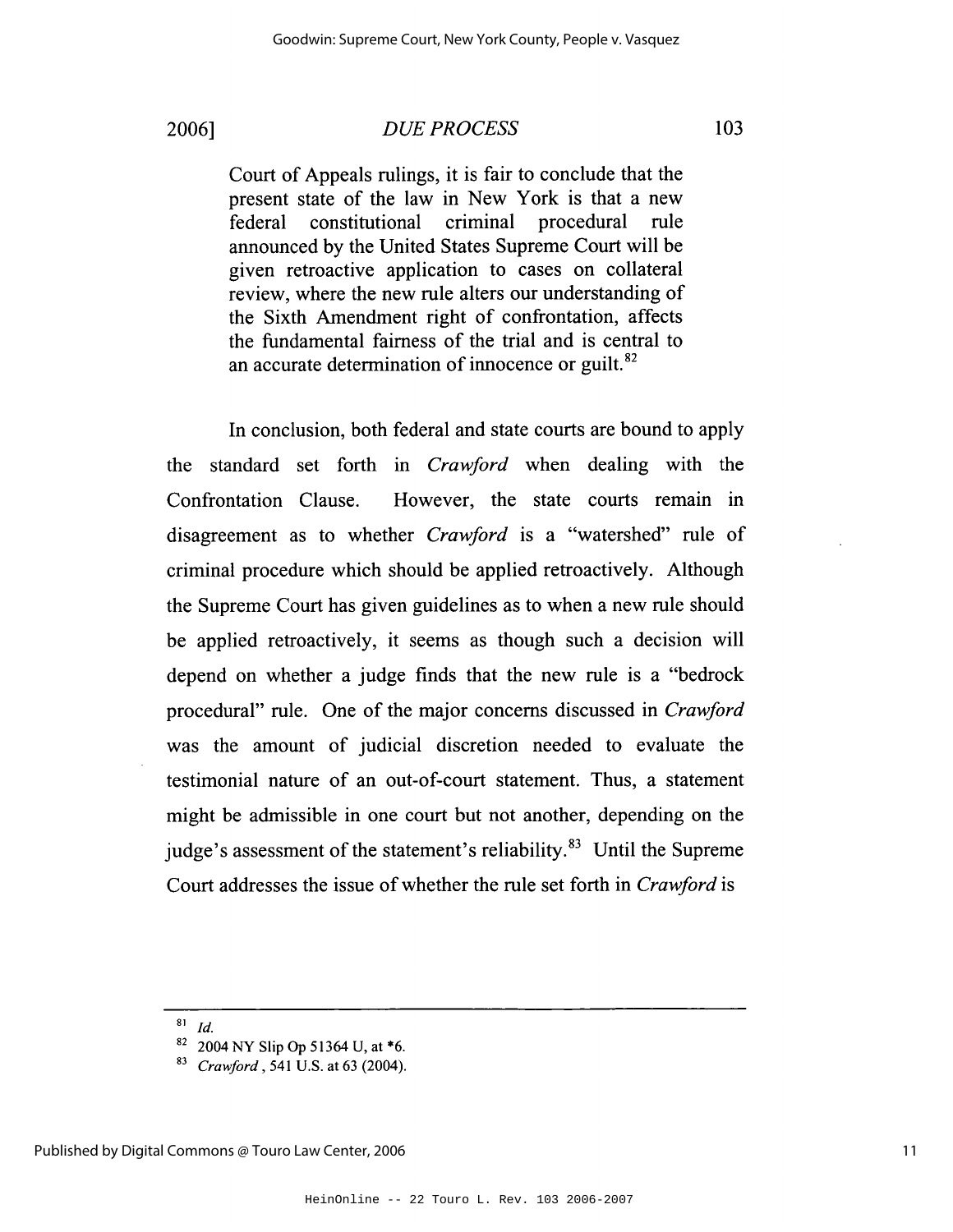2006]

# **DUE PROCESS**

Court of Appeals rulings, it is fair to conclude that the present state of the law in New York is that a new criminal federal constitutional procedural rule announced by the United States Supreme Court will be given retroactive application to cases on collateral review, where the new rule alters our understanding of the Sixth Amendment right of confrontation, affects the fundamental fairness of the trial and is central to an accurate determination of innocence or guilt.<sup>82</sup>

In conclusion, both federal and state courts are bound to apply the standard set forth in *Crawford* when dealing with the Confrontation Clause. However, the state courts remain in disagreement as to whether *Crawford* is a "watershed" rule of criminal procedure which should be applied retroactively. Although the Supreme Court has given guidelines as to when a new rule should be applied retroactively, it seems as though such a decision will depend on whether a judge finds that the new rule is a "bedrock" procedural" rule. One of the major concerns discussed in *Crawford* was the amount of judicial discretion needed to evaluate the testimonial nature of an out-of-court statement. Thus, a statement might be admissible in one court but not another, depending on the judge's assessment of the statement's reliability.<sup>83</sup> Until the Supreme Court addresses the issue of whether the rule set forth in *Crawford* is

 $81$  $Id$ 

<sup>&</sup>lt;sup>82</sup> 2004 NY Slip Op 51364 U, at \*6.

<sup>&</sup>lt;sup>83</sup> Crawford, 541 U.S. at 63 (2004).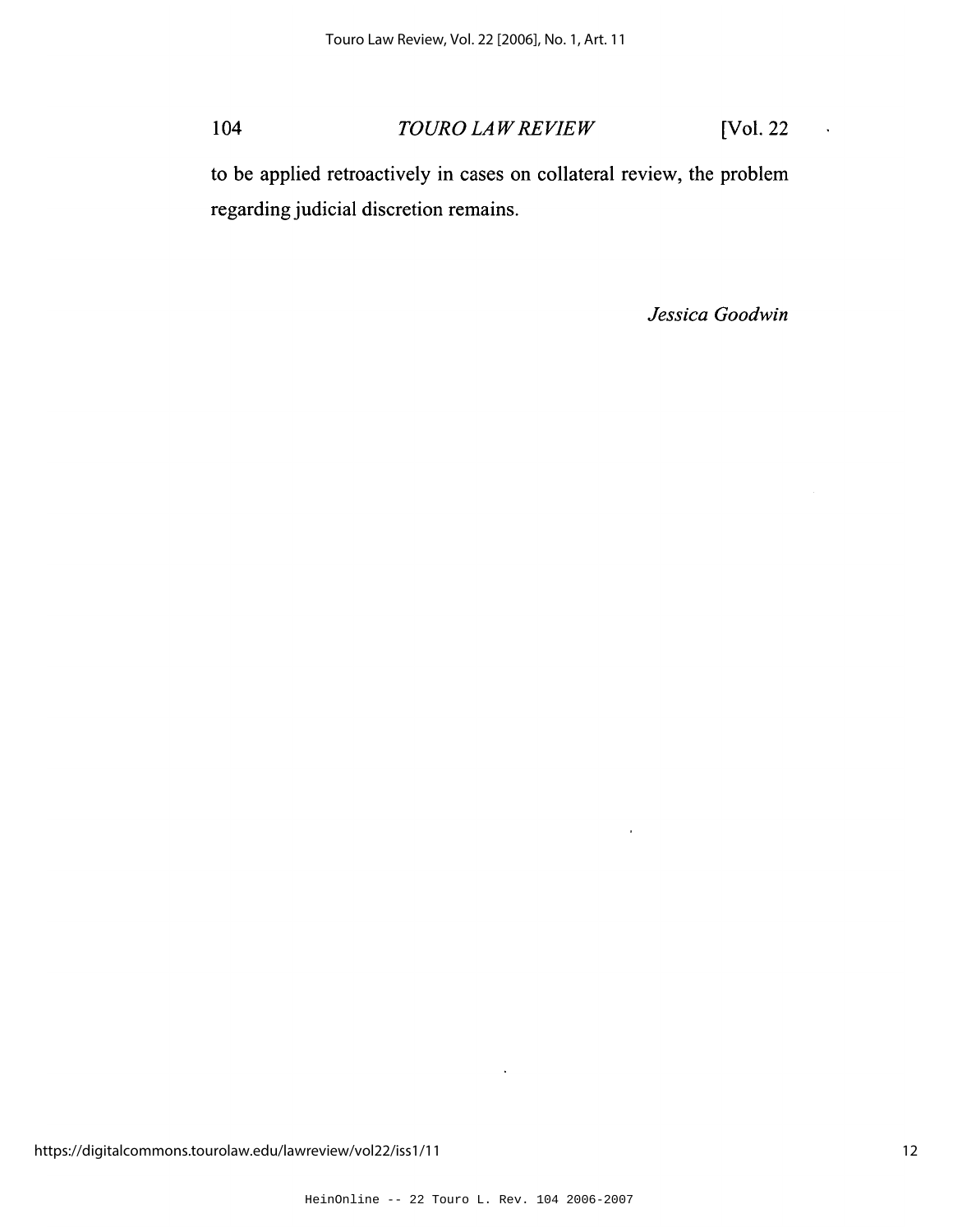[Vol. 22 104 TOURO LAW REVIEW

to be applied retroactively in cases on collateral review, the problem regarding judicial discretion remains.

 $\ddot{\phantom{1}}$ 

Jessica Goodwin

 $\langle \cdot \rangle$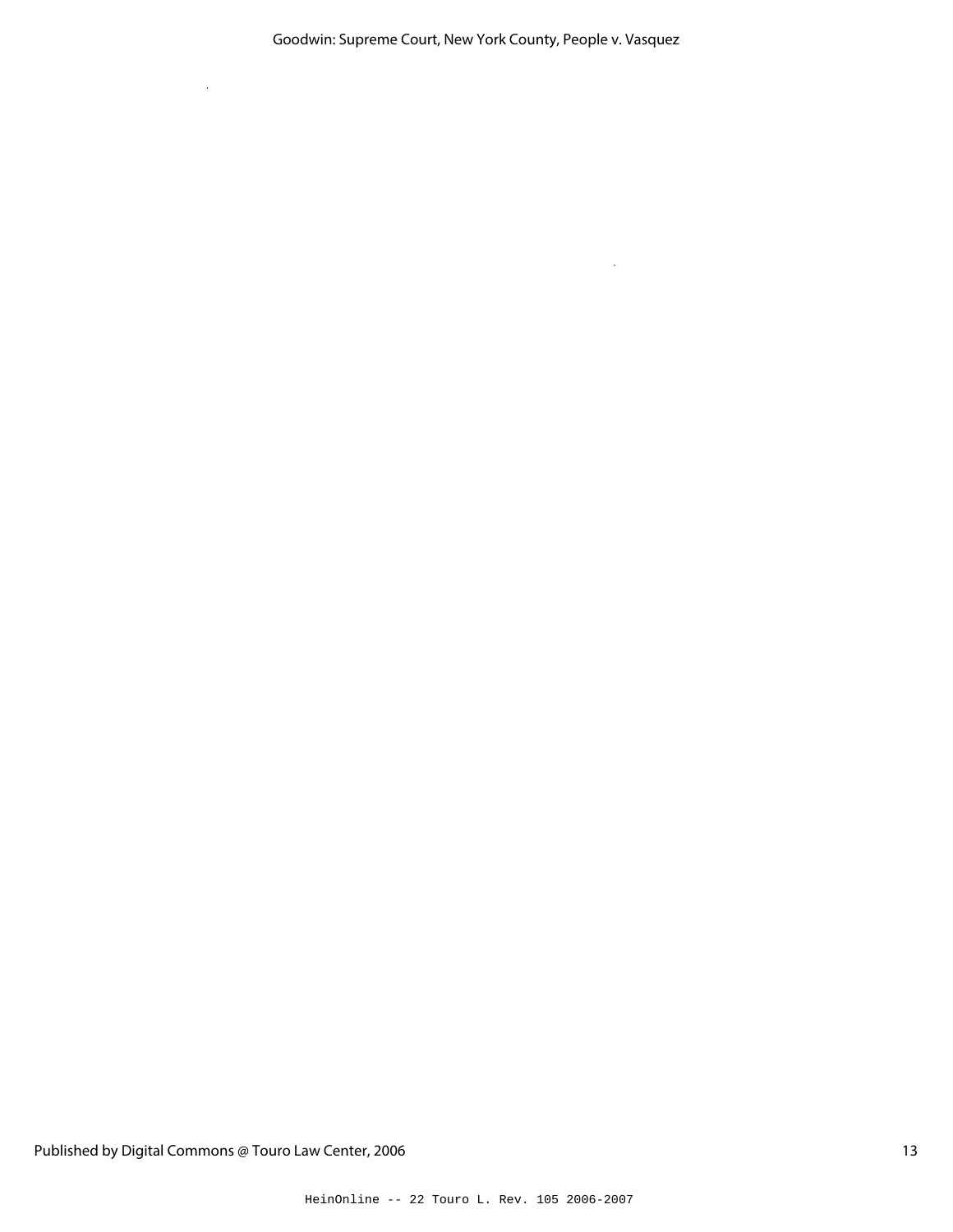Goodwin: Supreme Court, New York County, People v. Vasquez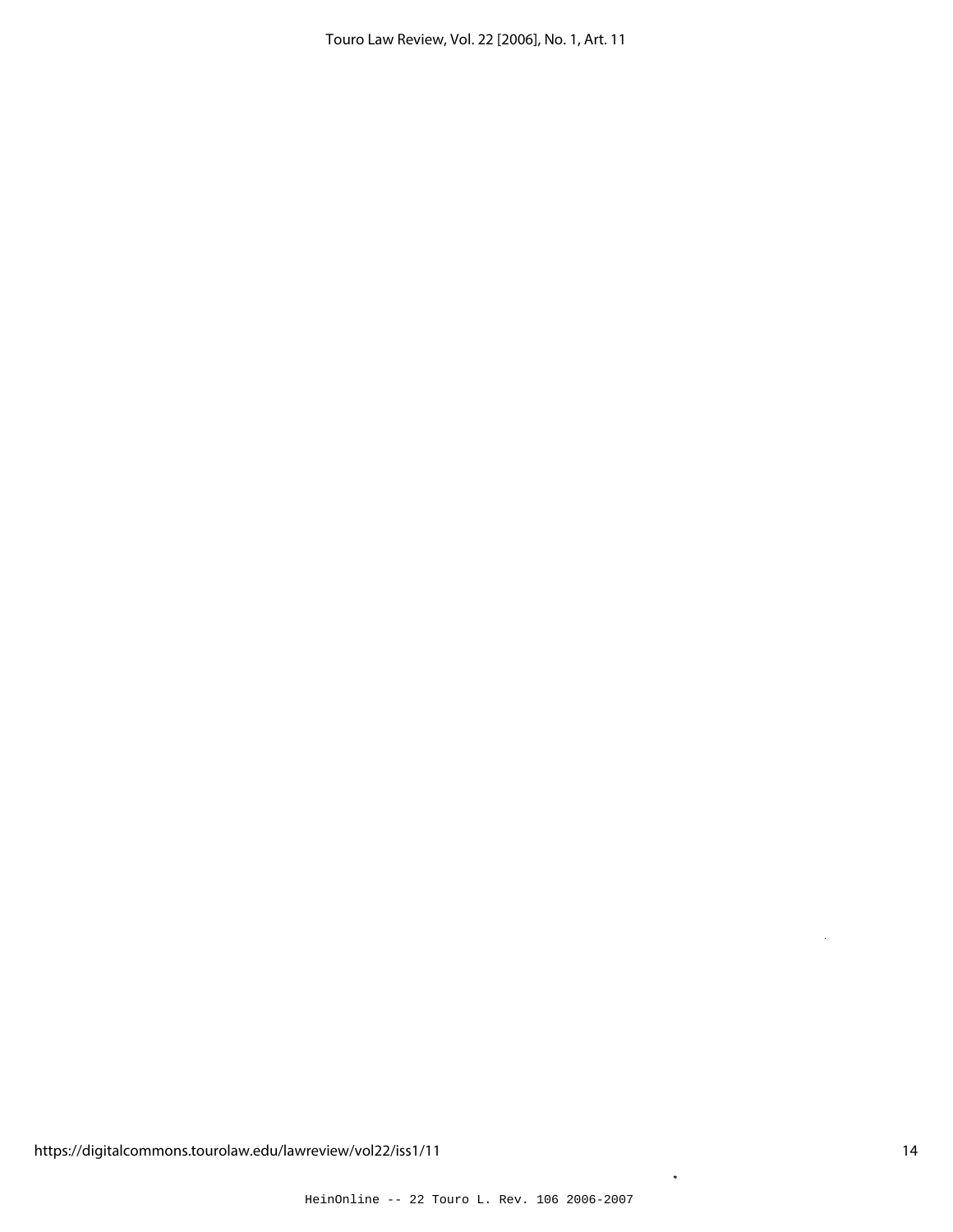Touro Law Review, Vol. 22 [2006], No. 1, Art. 11

 $\ddot{\phantom{a}}$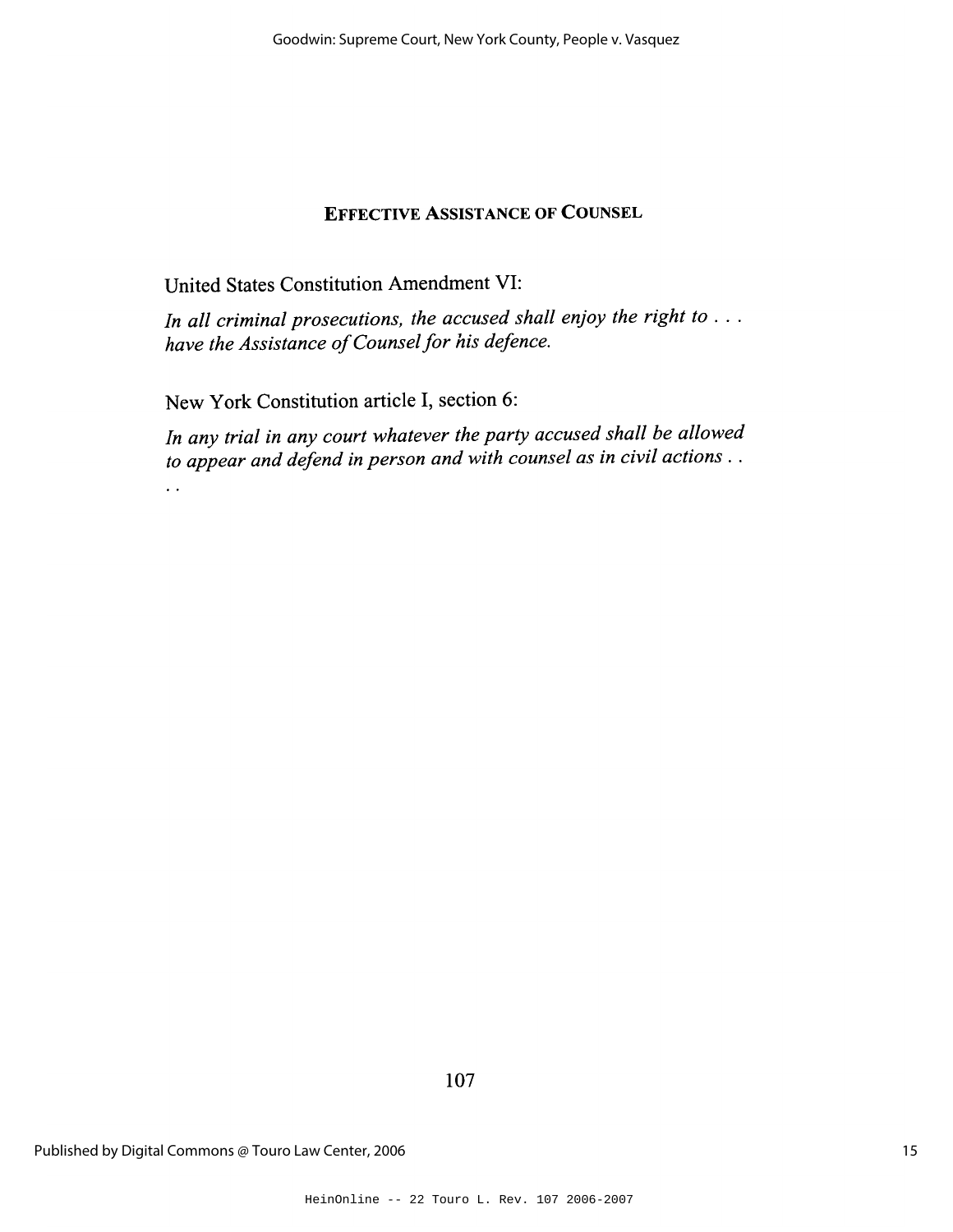# **EFFECTIVE ASSISTANCE OF COUNSEL**

United States Constitution Amendment VI:

In all criminal prosecutions, the accused shall enjoy the right to . . . have the Assistance of Counsel for his defence.

New York Constitution article I, section 6:

In any trial in any court whatever the party accused shall be allowed to appear and defend in person and with counsel as in civil actions...

 $\ddot{\phantom{1}}$  .